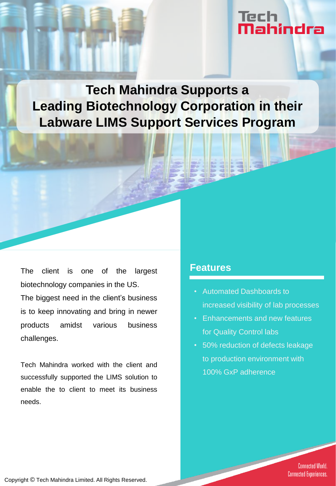# Tech<br>**Mahindra**

**Tech Mahindra Supports a Leading Biotechnology Corporation in their Labware LIMS Support Services Program** 

The client is one of the largest biotechnology companies in the US.

The biggest need in the client's business is to keep innovating and bring in newer products amidst various business challenges.

Tech Mahindra worked with the client and successfully supported the LIMS solution to enable the to client to meet its business needs.

### **Features**

- Automated Dashboards to increased visibility of lab processes
- Enhancements and new features for Quality Control labs
- 50% reduction of defects leakage to production environment with 100% GxP adherence

**Connected World. Connected Experiences.** 

Copyright © Tech Mahindra Limited. All Rights Reserved.